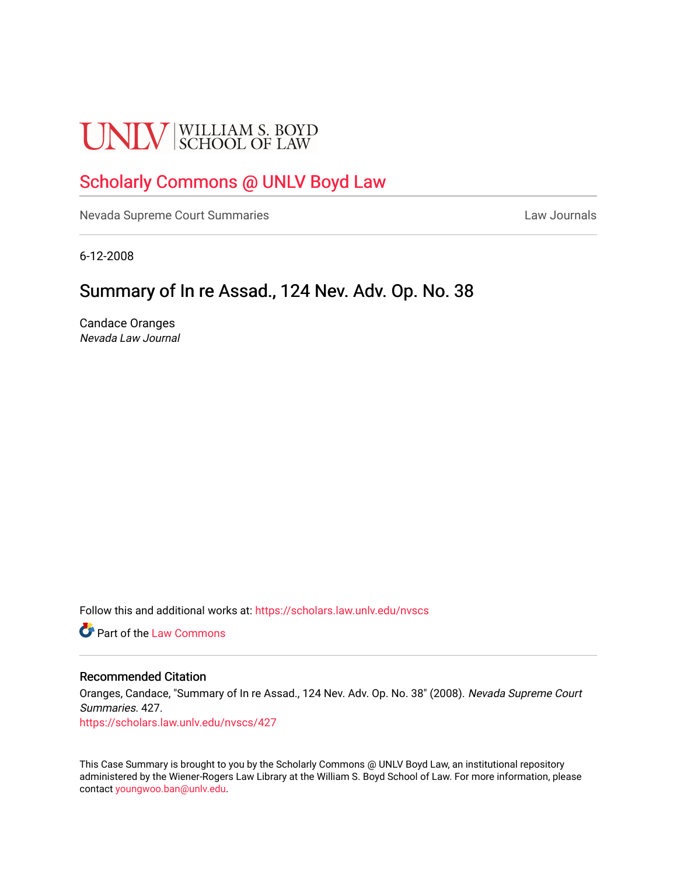# **UNLV** SCHOOL OF LAW

# [Scholarly Commons @ UNLV Boyd Law](https://scholars.law.unlv.edu/)

[Nevada Supreme Court Summaries](https://scholars.law.unlv.edu/nvscs) **Law Journals** Law Journals

6-12-2008

# Summary of In re Assad., 124 Nev. Adv. Op. No. 38

Candace Oranges Nevada Law Journal

Follow this and additional works at: [https://scholars.law.unlv.edu/nvscs](https://scholars.law.unlv.edu/nvscs?utm_source=scholars.law.unlv.edu%2Fnvscs%2F427&utm_medium=PDF&utm_campaign=PDFCoverPages)

**C** Part of the [Law Commons](http://network.bepress.com/hgg/discipline/578?utm_source=scholars.law.unlv.edu%2Fnvscs%2F427&utm_medium=PDF&utm_campaign=PDFCoverPages)

### Recommended Citation

Oranges, Candace, "Summary of In re Assad., 124 Nev. Adv. Op. No. 38" (2008). Nevada Supreme Court Summaries. 427.

[https://scholars.law.unlv.edu/nvscs/427](https://scholars.law.unlv.edu/nvscs/427?utm_source=scholars.law.unlv.edu%2Fnvscs%2F427&utm_medium=PDF&utm_campaign=PDFCoverPages)

This Case Summary is brought to you by the Scholarly Commons @ UNLV Boyd Law, an institutional repository administered by the Wiener-Rogers Law Library at the William S. Boyd School of Law. For more information, please contact [youngwoo.ban@unlv.edu](mailto:youngwoo.ban@unlv.edu).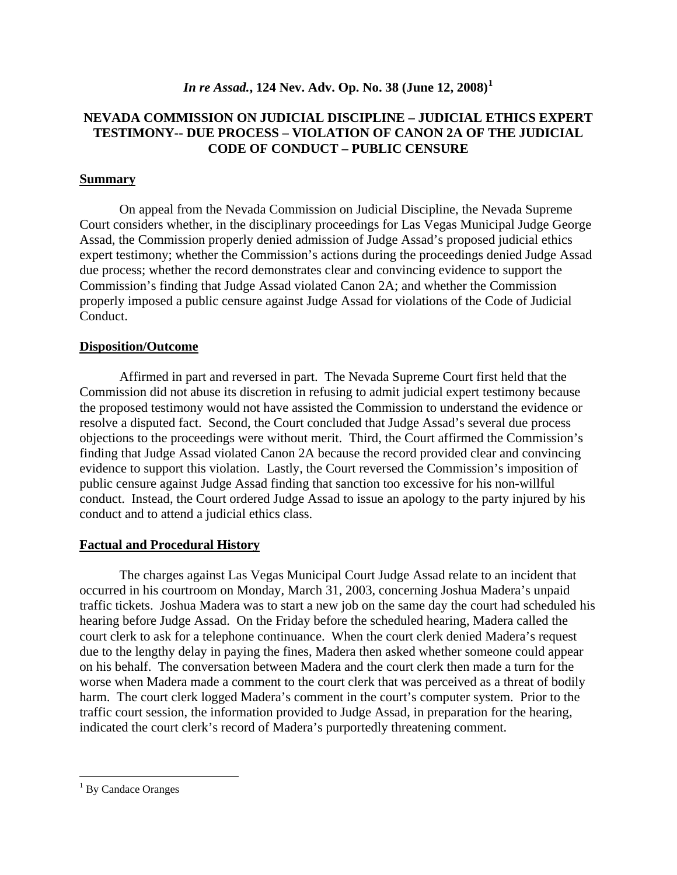# *In re Assad.***, 124 Nev. Adv. Op. No. 38 (June 12, 2008)[1](#page-1-0)**

# **NEVADA COMMISSION ON JUDICIAL DISCIPLINE – JUDICIAL ETHICS EXPERT TESTIMONY-- DUE PROCESS – VIOLATION OF CANON 2A OF THE JUDICIAL CODE OF CONDUCT – PUBLIC CENSURE**

# **Summary**

On appeal from the Nevada Commission on Judicial Discipline, the Nevada Supreme Court considers whether, in the disciplinary proceedings for Las Vegas Municipal Judge George Assad, the Commission properly denied admission of Judge Assad's proposed judicial ethics expert testimony; whether the Commission's actions during the proceedings denied Judge Assad due process; whether the record demonstrates clear and convincing evidence to support the Commission's finding that Judge Assad violated Canon 2A; and whether the Commission properly imposed a public censure against Judge Assad for violations of the Code of Judicial Conduct.

# **Disposition/Outcome**

Affirmed in part and reversed in part. The Nevada Supreme Court first held that the Commission did not abuse its discretion in refusing to admit judicial expert testimony because the proposed testimony would not have assisted the Commission to understand the evidence or resolve a disputed fact. Second, the Court concluded that Judge Assad's several due process objections to the proceedings were without merit. Third, the Court affirmed the Commission's finding that Judge Assad violated Canon 2A because the record provided clear and convincing evidence to support this violation. Lastly, the Court reversed the Commission's imposition of public censure against Judge Assad finding that sanction too excessive for his non-willful conduct. Instead, the Court ordered Judge Assad to issue an apology to the party injured by his conduct and to attend a judicial ethics class.

# **Factual and Procedural History**

The charges against Las Vegas Municipal Court Judge Assad relate to an incident that occurred in his courtroom on Monday, March 31, 2003, concerning Joshua Madera's unpaid traffic tickets. Joshua Madera was to start a new job on the same day the court had scheduled his hearing before Judge Assad. On the Friday before the scheduled hearing, Madera called the court clerk to ask for a telephone continuance. When the court clerk denied Madera's request due to the lengthy delay in paying the fines, Madera then asked whether someone could appear on his behalf. The conversation between Madera and the court clerk then made a turn for the worse when Madera made a comment to the court clerk that was perceived as a threat of bodily harm. The court clerk logged Madera's comment in the court's computer system. Prior to the traffic court session, the information provided to Judge Assad, in preparation for the hearing, indicated the court clerk's record of Madera's purportedly threatening comment.

 $\overline{a}$ 

<span id="page-1-0"></span><sup>&</sup>lt;sup>1</sup> By Candace Oranges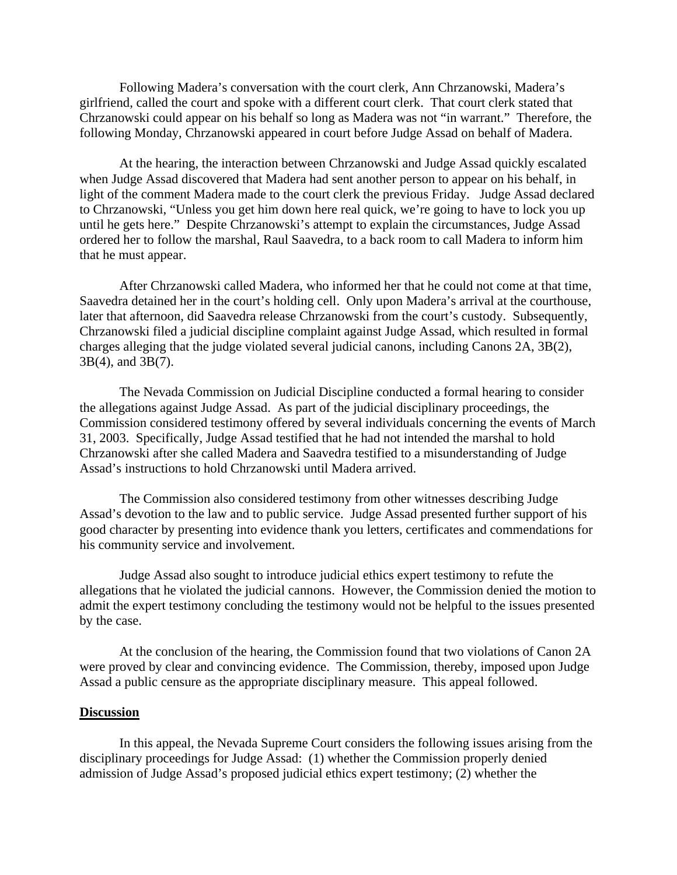Following Madera's conversation with the court clerk, Ann Chrzanowski, Madera's girlfriend, called the court and spoke with a different court clerk. That court clerk stated that Chrzanowski could appear on his behalf so long as Madera was not "in warrant." Therefore, the following Monday, Chrzanowski appeared in court before Judge Assad on behalf of Madera.

At the hearing, the interaction between Chrzanowski and Judge Assad quickly escalated when Judge Assad discovered that Madera had sent another person to appear on his behalf, in light of the comment Madera made to the court clerk the previous Friday. Judge Assad declared to Chrzanowski, "Unless you get him down here real quick, we're going to have to lock you up until he gets here." Despite Chrzanowski's attempt to explain the circumstances, Judge Assad ordered her to follow the marshal, Raul Saavedra, to a back room to call Madera to inform him that he must appear.

After Chrzanowski called Madera, who informed her that he could not come at that time, Saavedra detained her in the court's holding cell. Only upon Madera's arrival at the courthouse, later that afternoon, did Saavedra release Chrzanowski from the court's custody. Subsequently, Chrzanowski filed a judicial discipline complaint against Judge Assad, which resulted in formal charges alleging that the judge violated several judicial canons, including Canons 2A, 3B(2), 3B(4), and 3B(7).

The Nevada Commission on Judicial Discipline conducted a formal hearing to consider the allegations against Judge Assad. As part of the judicial disciplinary proceedings, the Commission considered testimony offered by several individuals concerning the events of March 31, 2003. Specifically, Judge Assad testified that he had not intended the marshal to hold Chrzanowski after she called Madera and Saavedra testified to a misunderstanding of Judge Assad's instructions to hold Chrzanowski until Madera arrived.

The Commission also considered testimony from other witnesses describing Judge Assad's devotion to the law and to public service. Judge Assad presented further support of his good character by presenting into evidence thank you letters, certificates and commendations for his community service and involvement.

Judge Assad also sought to introduce judicial ethics expert testimony to refute the allegations that he violated the judicial cannons. However, the Commission denied the motion to admit the expert testimony concluding the testimony would not be helpful to the issues presented by the case.

At the conclusion of the hearing, the Commission found that two violations of Canon 2A were proved by clear and convincing evidence. The Commission, thereby, imposed upon Judge Assad a public censure as the appropriate disciplinary measure. This appeal followed.

#### **Discussion**

In this appeal, the Nevada Supreme Court considers the following issues arising from the disciplinary proceedings for Judge Assad: (1) whether the Commission properly denied admission of Judge Assad's proposed judicial ethics expert testimony; (2) whether the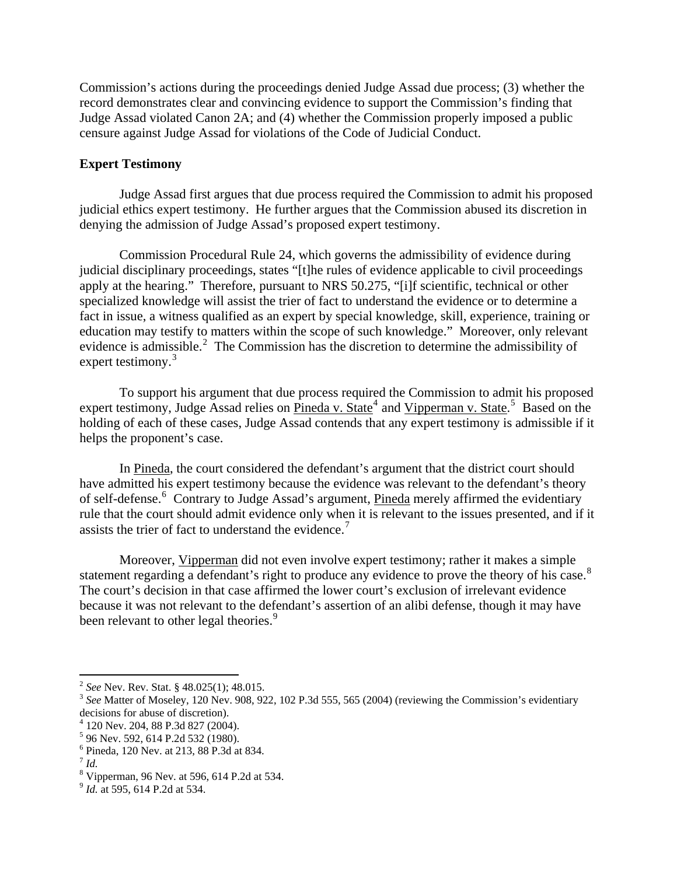Commission's actions during the proceedings denied Judge Assad due process; (3) whether the record demonstrates clear and convincing evidence to support the Commission's finding that Judge Assad violated Canon 2A; and (4) whether the Commission properly imposed a public censure against Judge Assad for violations of the Code of Judicial Conduct.

## **Expert Testimony**

Judge Assad first argues that due process required the Commission to admit his proposed judicial ethics expert testimony. He further argues that the Commission abused its discretion in denying the admission of Judge Assad's proposed expert testimony.

 Commission Procedural Rule 24, which governs the admissibility of evidence during judicial disciplinary proceedings, states "[t]he rules of evidence applicable to civil proceedings apply at the hearing." Therefore, pursuant to NRS 50.275, "[i]f scientific, technical or other specialized knowledge will assist the trier of fact to understand the evidence or to determine a fact in issue, a witness qualified as an expert by special knowledge, skill, experience, training or education may testify to matters within the scope of such knowledge." Moreover, only relevant evidence is admissible.<sup>[2](#page-3-0)</sup> The Commission has the discretion to determine the admissibility of expert testimony.<sup>[3](#page-3-1)</sup>

To support his argument that due process required the Commission to admit his proposed expert testimony, Judge Assad relies on Pineda v. State<sup>[4](#page-3-2)</sup> and Vipperman v. State.<sup>[5](#page-3-3)</sup> Based on the holding of each of these cases, Judge Assad contends that any expert testimony is admissible if it helps the proponent's case.

In Pineda, the court considered the defendant's argument that the district court should have admitted his expert testimony because the evidence was relevant to the defendant's theory of self-defense.<sup>[6](#page-3-4)</sup> Contrary to Judge Assad's argument, Pineda merely affirmed the evidentiary rule that the court should admit evidence only when it is relevant to the issues presented, and if it assists the trier of fact to understand the evidence.<sup>[7](#page-3-5)</sup>

Moreover, Vipperman did not even involve expert testimony; rather it makes a simple statement regarding a defendant's right to produce any evidence to prove the theory of his case.<sup>[8](#page-3-6)</sup> The court's decision in that case affirmed the lower court's exclusion of irrelevant evidence because it was not relevant to the defendant's assertion of an alibi defense, though it may have been relevant to other legal theories.<sup>[9](#page-3-7)</sup>

 $\overline{a}$ 

<span id="page-3-1"></span><span id="page-3-0"></span> $2^{2}$  *See* Nev. Rev. Stat. § 48.025(1); 48.015.<br><sup>3</sup> *See* Matter of Moseley, 120 Nev. 908, 922, 102 P.3d 555, 565 (2004) (reviewing the Commission's evidentiary decisions for abuse of discretion).

<span id="page-3-2"></span><sup>4</sup> 120 Nev. 204, 88 P.3d 827 (2004).

<span id="page-3-3"></span><sup>&</sup>lt;sup>5</sup> 96 Nev. 592, 614 P.2d 532 (1980).

<sup>6</sup> Pineda, 120 Nev. at 213, 88 P.3d at 834.

<span id="page-3-6"></span><span id="page-3-5"></span><span id="page-3-4"></span> $^7$  *Id.* 

<sup>8</sup> Vipperman, 96 Nev. at 596, 614 P.2d at 534. 9 *Id.* at 595, 614 P.2d at 534.

<span id="page-3-7"></span>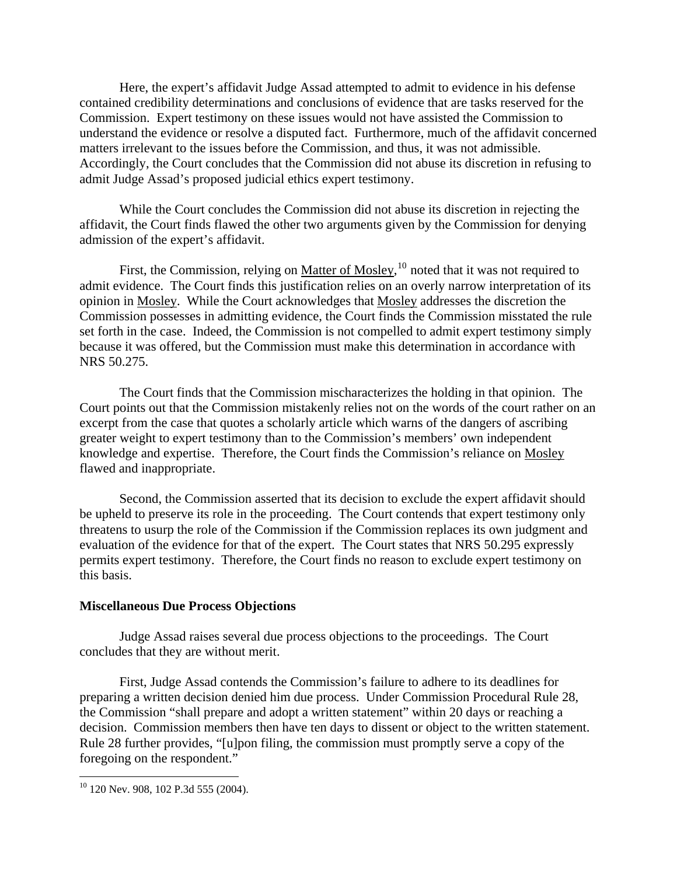Here, the expert's affidavit Judge Assad attempted to admit to evidence in his defense contained credibility determinations and conclusions of evidence that are tasks reserved for the Commission. Expert testimony on these issues would not have assisted the Commission to understand the evidence or resolve a disputed fact. Furthermore, much of the affidavit concerned matters irrelevant to the issues before the Commission, and thus, it was not admissible. Accordingly, the Court concludes that the Commission did not abuse its discretion in refusing to admit Judge Assad's proposed judicial ethics expert testimony.

While the Court concludes the Commission did not abuse its discretion in rejecting the affidavit, the Court finds flawed the other two arguments given by the Commission for denying admission of the expert's affidavit.

First, the Commission, relying on Matter of Mosley, <sup>[10](#page-4-0)</sup> noted that it was not required to admit evidence. The Court finds this justification relies on an overly narrow interpretation of its opinion in Mosley. While the Court acknowledges that Mosley addresses the discretion the Commission possesses in admitting evidence, the Court finds the Commission misstated the rule set forth in the case. Indeed, the Commission is not compelled to admit expert testimony simply because it was offered, but the Commission must make this determination in accordance with NRS 50.275.

The Court finds that the Commission mischaracterizes the holding in that opinion. The Court points out that the Commission mistakenly relies not on the words of the court rather on an excerpt from the case that quotes a scholarly article which warns of the dangers of ascribing greater weight to expert testimony than to the Commission's members' own independent knowledge and expertise. Therefore, the Court finds the Commission's reliance on Mosley flawed and inappropriate.

Second, the Commission asserted that its decision to exclude the expert affidavit should be upheld to preserve its role in the proceeding. The Court contends that expert testimony only threatens to usurp the role of the Commission if the Commission replaces its own judgment and evaluation of the evidence for that of the expert. The Court states that NRS 50.295 expressly permits expert testimony. Therefore, the Court finds no reason to exclude expert testimony on this basis.

#### **Miscellaneous Due Process Objections**

 Judge Assad raises several due process objections to the proceedings. The Court concludes that they are without merit.

 First, Judge Assad contends the Commission's failure to adhere to its deadlines for preparing a written decision denied him due process. Under Commission Procedural Rule 28, the Commission "shall prepare and adopt a written statement" within 20 days or reaching a decision. Commission members then have ten days to dissent or object to the written statement. Rule 28 further provides, "[u]pon filing, the commission must promptly serve a copy of the foregoing on the respondent."

<u>.</u>

<span id="page-4-0"></span><sup>&</sup>lt;sup>10</sup> 120 Nev. 908, 102 P.3d 555 (2004).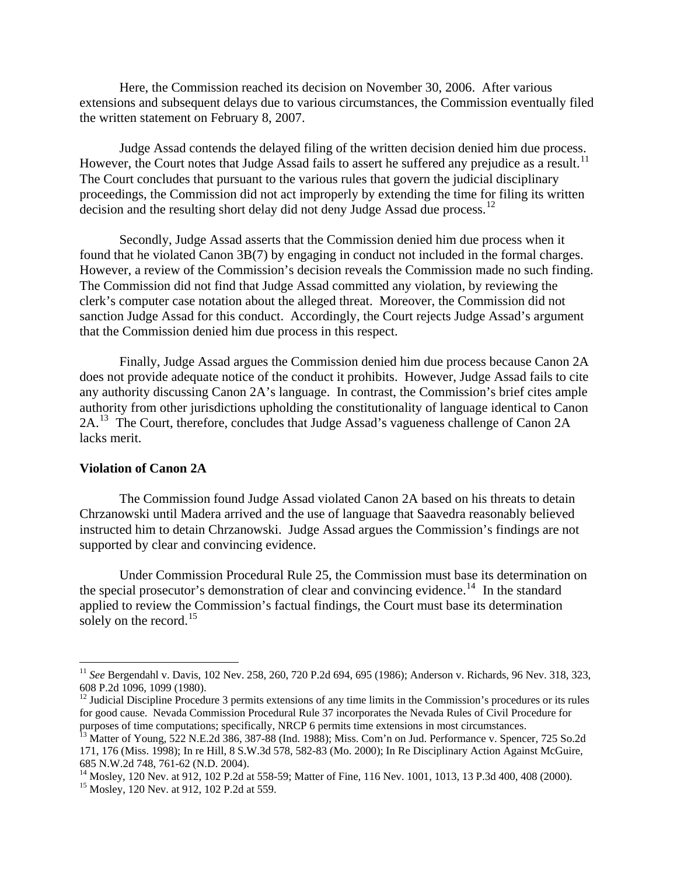Here, the Commission reached its decision on November 30, 2006. After various extensions and subsequent delays due to various circumstances, the Commission eventually filed the written statement on February 8, 2007.

 Judge Assad contends the delayed filing of the written decision denied him due process. However, the Court notes that Judge Assad fails to assert he suffered any prejudice as a result.<sup>[11](#page-5-0)</sup> The Court concludes that pursuant to the various rules that govern the judicial disciplinary proceedings, the Commission did not act improperly by extending the time for filing its written decision and the resulting short delay did not deny Judge Assad due process.<sup>[12](#page-5-1)</sup>

 Secondly, Judge Assad asserts that the Commission denied him due process when it found that he violated Canon 3B(7) by engaging in conduct not included in the formal charges. However, a review of the Commission's decision reveals the Commission made no such finding. The Commission did not find that Judge Assad committed any violation, by reviewing the clerk's computer case notation about the alleged threat. Moreover, the Commission did not sanction Judge Assad for this conduct. Accordingly, the Court rejects Judge Assad's argument that the Commission denied him due process in this respect.

 Finally, Judge Assad argues the Commission denied him due process because Canon 2A does not provide adequate notice of the conduct it prohibits. However, Judge Assad fails to cite any authority discussing Canon 2A's language. In contrast, the Commission's brief cites ample authority from other jurisdictions upholding the constitutionality of language identical to Canon 2A.<sup>[13](#page-5-2)</sup> The Court, therefore, concludes that Judge Assad's vagueness challenge of Canon 2A lacks merit.

# **Violation of Canon 2A**

 $\overline{a}$ 

The Commission found Judge Assad violated Canon 2A based on his threats to detain Chrzanowski until Madera arrived and the use of language that Saavedra reasonably believed instructed him to detain Chrzanowski. Judge Assad argues the Commission's findings are not supported by clear and convincing evidence.

 Under Commission Procedural Rule 25, the Commission must base its determination on the special prosecutor's demonstration of clear and convincing evidence.<sup>[14](#page-5-3)</sup> In the standard applied to review the Commission's factual findings, the Court must base its determination solely on the record.<sup>[15](#page-5-4)</sup>

<span id="page-5-0"></span><sup>11</sup> *See* Bergendahl v. Davis, 102 Nev. 258, 260, 720 P.2d 694, 695 (1986); Anderson v. Richards, 96 Nev. 318, 323, 608 P.2d 1096, 1099 (1980).

<span id="page-5-1"></span> $12$  Judicial Discipline Procedure 3 permits extensions of any time limits in the Commission's procedures or its rules for good cause. Nevada Commission Procedural Rule 37 incorporates the Nevada Rules of Civil Procedure for purposes of time computations; specifically, NRCP 6 permits time extensions in most circumstances.

<span id="page-5-2"></span><sup>&</sup>lt;sup>13</sup> Matter of Young, 522 N.E.2d 386, 387-88 (Ind. 1988); Miss. Com'n on Jud. Performance v. Spencer, 725 So.2d 171, 176 (Miss. 1998); In re Hill, 8 S.W.3d 578, 582-83 (Mo. 2000); In Re Disciplinary Action Against McGuire, 685 N.W.2d 748, 761-62 (N.D. 2004).

<span id="page-5-4"></span><span id="page-5-3"></span><sup>&</sup>lt;sup>14</sup> Mosley, 120 Nev. at 912, 102 P.2d at 558-59; Matter of Fine, 116 Nev. 1001, 1013, 13 P.3d 400, 408 (2000).<br><sup>15</sup> Mosley, 120 Nev. at 912, 102 P.2d at 559.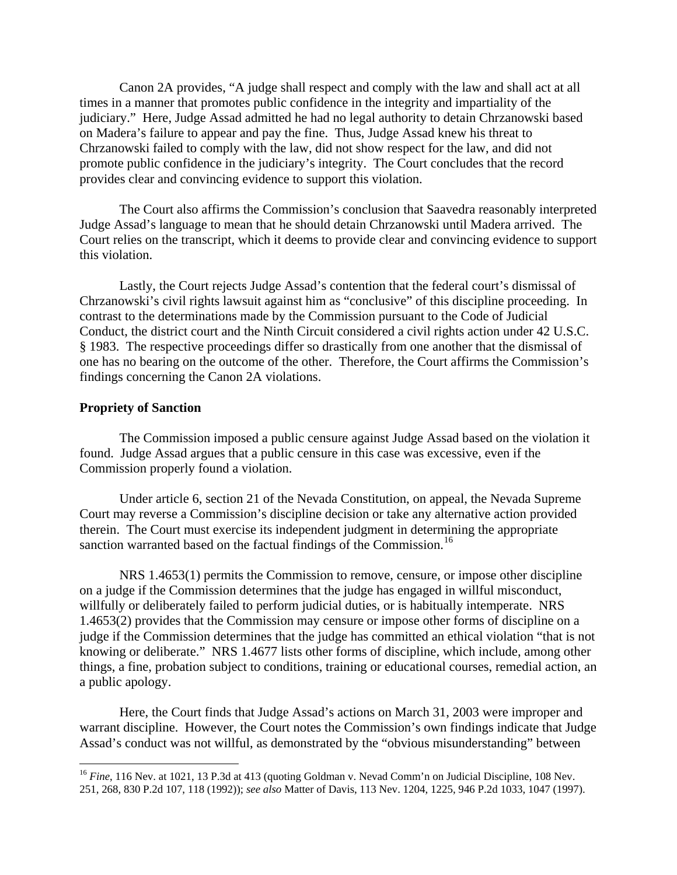Canon 2A provides, "A judge shall respect and comply with the law and shall act at all times in a manner that promotes public confidence in the integrity and impartiality of the judiciary." Here, Judge Assad admitted he had no legal authority to detain Chrzanowski based on Madera's failure to appear and pay the fine. Thus, Judge Assad knew his threat to Chrzanowski failed to comply with the law, did not show respect for the law, and did not promote public confidence in the judiciary's integrity. The Court concludes that the record provides clear and convincing evidence to support this violation.

 The Court also affirms the Commission's conclusion that Saavedra reasonably interpreted Judge Assad's language to mean that he should detain Chrzanowski until Madera arrived. The Court relies on the transcript, which it deems to provide clear and convincing evidence to support this violation.

 Lastly, the Court rejects Judge Assad's contention that the federal court's dismissal of Chrzanowski's civil rights lawsuit against him as "conclusive" of this discipline proceeding. In contrast to the determinations made by the Commission pursuant to the Code of Judicial Conduct, the district court and the Ninth Circuit considered a civil rights action under 42 U.S.C. § 1983. The respective proceedings differ so drastically from one another that the dismissal of one has no bearing on the outcome of the other. Therefore, the Court affirms the Commission's findings concerning the Canon 2A violations.

## **Propriety of Sanction**

 $\overline{a}$ 

The Commission imposed a public censure against Judge Assad based on the violation it found. Judge Assad argues that a public censure in this case was excessive, even if the Commission properly found a violation.

 Under article 6, section 21 of the Nevada Constitution, on appeal, the Nevada Supreme Court may reverse a Commission's discipline decision or take any alternative action provided therein. The Court must exercise its independent judgment in determining the appropriate sanction warranted based on the factual findings of the Commission.<sup>[16](#page-6-0)</sup>

 NRS 1.4653(1) permits the Commission to remove, censure, or impose other discipline on a judge if the Commission determines that the judge has engaged in willful misconduct, willfully or deliberately failed to perform judicial duties, or is habitually intemperate. NRS 1.4653(2) provides that the Commission may censure or impose other forms of discipline on a judge if the Commission determines that the judge has committed an ethical violation "that is not knowing or deliberate." NRS 1.4677 lists other forms of discipline, which include, among other things, a fine, probation subject to conditions, training or educational courses, remedial action, an a public apology.

 Here, the Court finds that Judge Assad's actions on March 31, 2003 were improper and warrant discipline. However, the Court notes the Commission's own findings indicate that Judge Assad's conduct was not willful, as demonstrated by the "obvious misunderstanding" between

<span id="page-6-0"></span><sup>&</sup>lt;sup>16</sup> *Fine*, 116 Nev. at 1021, 13 P.3d at 413 (quoting Goldman v. Nevad Comm'n on Judicial Discipline, 108 Nev. 251, 268, 830 P.2d 107, 118 (1992)); *see also* Matter of Davis, 113 Nev. 1204, 1225, 946 P.2d 1033, 1047 (1997).